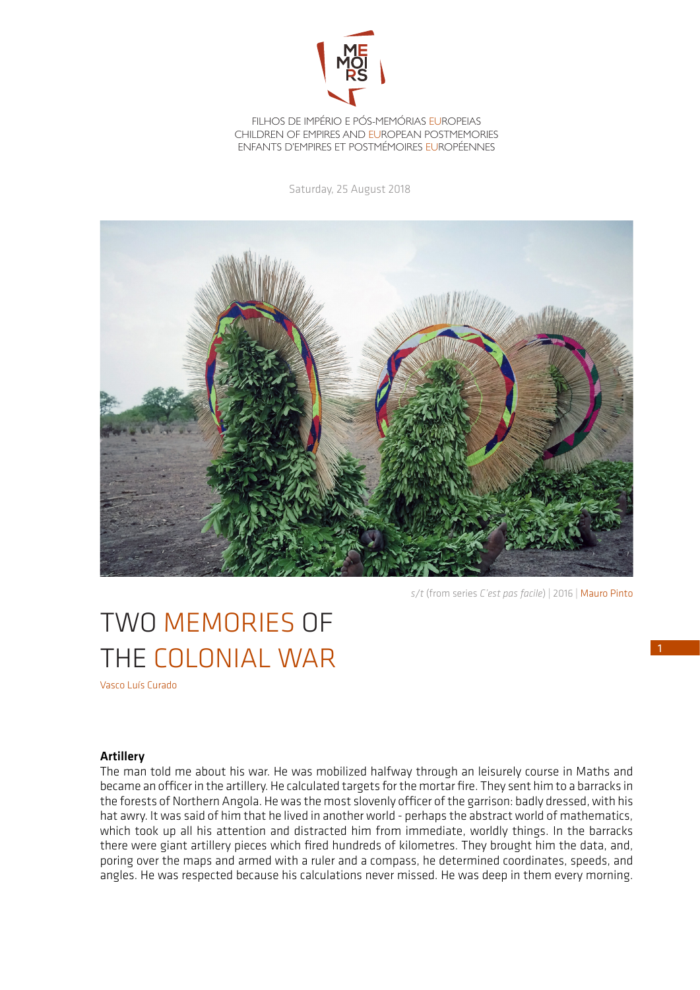

FILHOS DE IMPÉRIO E PÓS-MEMÓRIAS EUROPEIAS CHILDREN OF EMPIRES AND EUROPEAN POSTMEMORIES ENFANTS D'EMPIRES ET POSTMÉMOIRES EUROPÉENNES

Saturday, 25 August 2018



*s/t* (from series *C'est pas facile*) | 2016 | Mauro Pinto

## TWO MEMORIES OF THE COLONIAL WAR

Vasco Luís Curado

## Artillery

The man told me about his war. He was mobilized halfway through an leisurely course in Maths and became an officer in the artillery. He calculated targets for the mortar fire. They sent him to a barracks in the forests of Northern Angola. He was the most slovenly officer of the garrison: badly dressed, with his hat awry. It was said of him that he lived in another world - perhaps the abstract world of mathematics, which took up all his attention and distracted him from immediate, worldly things. In the barracks there were giant artillery pieces which fired hundreds of kilometres. They brought him the data, and, poring over the maps and armed with a ruler and a compass, he determined coordinates, speeds, and angles. He was respected because his calculations never missed. He was deep in them every morning.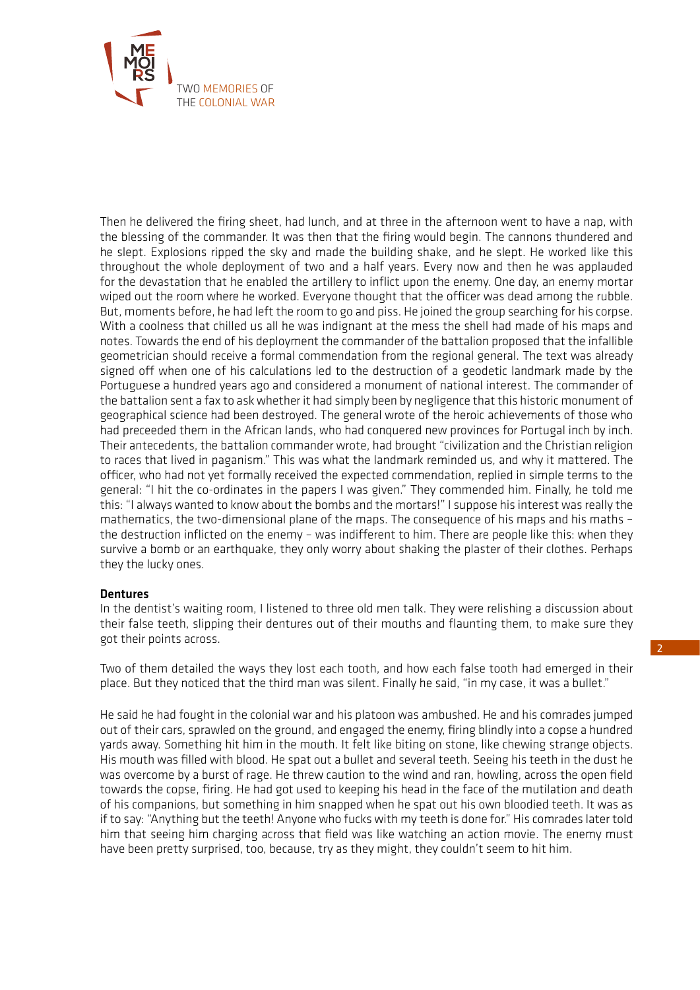

Then he delivered the firing sheet, had lunch, and at three in the afternoon went to have a nap, with the blessing of the commander. It was then that the firing would begin. The cannons thundered and he slept. Explosions ripped the sky and made the building shake, and he slept. He worked like this throughout the whole deployment of two and a half years. Every now and then he was applauded for the devastation that he enabled the artillery to inflict upon the enemy. One day, an enemy mortar wiped out the room where he worked. Everyone thought that the officer was dead among the rubble. But, moments before, he had left the room to go and piss. He joined the group searching for his corpse. With a coolness that chilled us all he was indignant at the mess the shell had made of his maps and notes. Towards the end of his deployment the commander of the battalion proposed that the infallible geometrician should receive a formal commendation from the regional general. The text was already signed off when one of his calculations led to the destruction of a geodetic landmark made by the Portuguese a hundred years ago and considered a monument of national interest. The commander of the battalion sent a fax to ask whether it had simply been by negligence that this historic monument of geographical science had been destroyed. The general wrote of the heroic achievements of those who had preceeded them in the African lands, who had conquered new provinces for Portugal inch by inch. Their antecedents, the battalion commander wrote, had brought "civilization and the Christian religion to races that lived in paganism." This was what the landmark reminded us, and why it mattered. The officer, who had not yet formally received the expected commendation, replied in simple terms to the general: "I hit the co-ordinates in the papers I was given." They commended him. Finally, he told me this: "I always wanted to know about the bombs and the mortars!" I suppose his interest was really the mathematics, the two-dimensional plane of the maps. The consequence of his maps and his maths – the destruction inflicted on the enemy – was indifferent to him. There are people like this: when they survive a bomb or an earthquake, they only worry about shaking the plaster of their clothes. Perhaps they the lucky ones.

## **Dentures**

In the dentist's waiting room, I listened to three old men talk. They were relishing a discussion about their false teeth, slipping their dentures out of their mouths and flaunting them, to make sure they got their points across.

Two of them detailed the ways they lost each tooth, and how each false tooth had emerged in their place. But they noticed that the third man was silent. Finally he said, "in my case, it was a bullet."

He said he had fought in the colonial war and his platoon was ambushed. He and his comrades jumped out of their cars, sprawled on the ground, and engaged the enemy, firing blindly into a copse a hundred yards away. Something hit him in the mouth. It felt like biting on stone, like chewing strange objects. His mouth was filled with blood. He spat out a bullet and several teeth. Seeing his teeth in the dust he was overcome by a burst of rage. He threw caution to the wind and ran, howling, across the open field towards the copse, firing. He had got used to keeping his head in the face of the mutilation and death of his companions, but something in him snapped when he spat out his own bloodied teeth. It was as if to say: "Anything but the teeth! Anyone who fucks with my teeth is done for." His comrades later told him that seeing him charging across that field was like watching an action movie. The enemy must have been pretty surprised, too, because, try as they might, they couldn't seem to hit him.